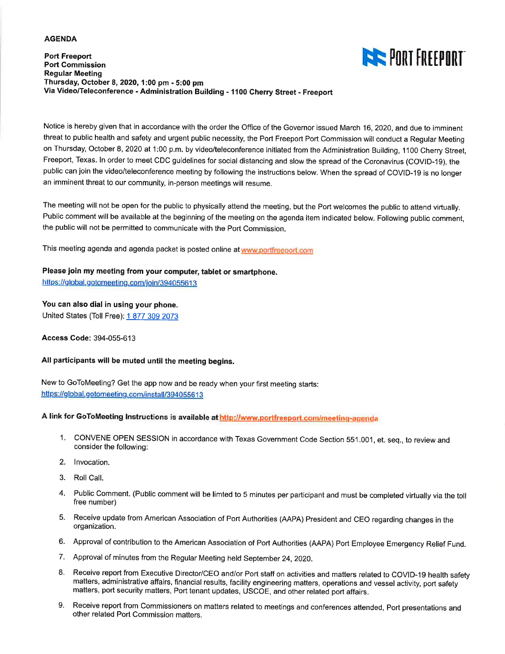#### **AGENDA**

#### **Port Freeport Port Commission Regular Meeting** Thursday, October 8, 2020, 1:00 pm - 5:00 pm Via Video/Teleconference - Administration Building - 1100 Cherry Street - Freeport



Notice is hereby given that in accordance with the order the Office of the Governor issued March 16, 2020, and due to imminent threat to public health and safety and urgent public necessity, the Port Freeport Port Commission will conduct a Regular Meeting on Thursday, October 8, 2020 at 1:00 p.m. by video/teleconference initiated from the Administration Building, 1100 Cherry Street, Freeport, Texas. In order to meet CDC guidelines for social distancing and slow the spread of the Coronavirus (COVID-19), the public can join the video/teleconference meeting by following the instructions below. When the spread of COVID-19 is no longer an imminent threat to our community, in-person meetings will resume.

The meeting will not be open for the public to physically attend the meeting, but the Port welcomes the public to attend virtually. Public comment will be available at the beginning of the meeting on the agenda item indicated below. Following public comment, the public will not be permitted to communicate with the Port Commission.

This meeting agenda and agenda packet is posted online at www.portfreeport.com

## Please join my meeting from your computer, tablet or smartphone.

https://global.gotomeeting.com/join/394055613

#### You can also dial in using your phone.

United States (Toll Free): 1 877 309 2073

Access Code: 394-055-613

### All participants will be muted until the meeting begins.

New to GoToMeeting? Get the app now and be ready when your first meeting starts: https://global.gotomeeting.com/install/394055613

A link for GoToMeeting Instructions is available at http://www.portfreeport.com/meeting-agenda

- 1. CONVENE OPEN SESSION in accordance with Texas Government Code Section 551.001, et. seq., to review and consider the following:
- 2. Invocation.
- 3. Roll Call.
- 4. Public Comment. (Public comment will be limted to 5 minutes per participant and must be completed virtually via the toll free number)
- 5. Receive update from American Association of Port Authorities (AAPA) President and CEO regarding changes in the organization.
- 6. Approval of contribution to the American Association of Port Authorities (AAPA) Port Employee Emergency Relief Fund.
- 7. Approval of minutes from the Regular Meeting held September 24, 2020.
- 8. Receive report from Executive Director/CEO and/or Port staff on activities and matters related to COVID-19 health safety matters, administrative affairs, financial results, facility engineering matters, operations and vessel activity, port safety matters, port security matters, Port tenant updates, USCOE, and other related port affairs.
- Receive report from Commissioners on matters related to meetings and conferences attended, Port presentations and 9. other related Port Commission matters.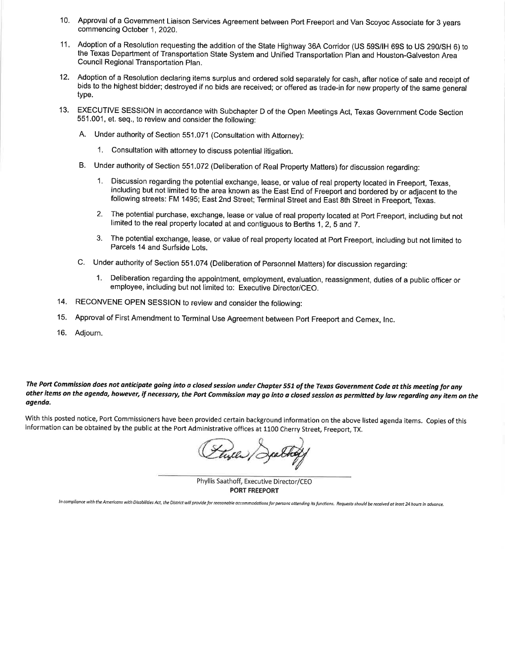- 10. Approval of a Government Liaison Services Agreement between Port Freeport and Van Scoyoc Associate for 3 years commencing October 1, 2020.
- 11. Adoption of a Resolution requesting the addition of the State Highway 36A Corridor (US 59S/IH 69S to US 290/SH 6) to the Texas Department of Transportation State System and Unified Transportation Plan and Houston-Galveston Area Council Regional Transportation Plan.
- $12.$ Adoption of a Resolution declaring items surplus and ordered sold separately for cash, after notice of sale and receipt of bids to the highest bidder; destroved if no bids are received; or offered as trade-in for new property of the same general type.
- 13. EXECUTIVE SESSION in accordance with Subchapter D of the Open Meetings Act, Texas Government Code Section 551.001, et. seq., to review and consider the following:
	- A. Under authority of Section 551.071 (Consultation with Attorney):
		- 1. Consultation with attorney to discuss potential litigation.
	- Under authority of Section 551.072 (Deliberation of Real Property Matters) for discussion regarding: B.
		- $1_{-}$ Discussion regarding the potential exchange, lease, or value of real property located in Freeport, Texas, including but not limited to the area known as the East End of Freeport and bordered by or adjacent to the following streets: FM 1495; East 2nd Street; Terminal Street and East 8th Street in Freeport, Texas.
		- $2.$ The potential purchase, exchange, lease or value of real property located at Port Freeport, including but not limited to the real property located at and contiguous to Berths 1, 2, 5 and 7.
		- 3. The potential exchange, lease, or value of real property located at Port Freeport, including but not limited to Parcels 14 and Surfside Lots.
	- C. Under authority of Section 551.074 (Deliberation of Personnel Matters) for discussion regarding:
		- $1.$ Deliberation regarding the appointment, employment, evaluation, reassignment, duties of a public officer or employee, including but not limited to: Executive Director/CEO.
- 14. RECONVENE OPEN SESSION to review and consider the following:
- 15. Approval of First Amendment to Terminal Use Agreement between Port Freeport and Cemex, Inc.
- 16. Adjourn.

The Port Commission does not anticipate going into a closed session under Chapter 551 of the Texas Government Code at this meeting for any other items on the agenda, however, if necessary, the Port Commission may go into a closed session as permitted by law regarding any item on the agenda.

With this posted notice, Port Commissioners have been provided certain background information on the above listed agenda items. Copies of this information can be obtained by the public at the Port Administrative offices at 1100 Cherry Street, Freeport, TX.

tyle Death

Phyllis Saathoff, Executive Director/CEO **PORT FREEPORT** 

In compliance with the Americans with Disabilities Act, the District will provide for reasonable accommodations for persons attending its functions. Requests should be received at least 24 hours in advance.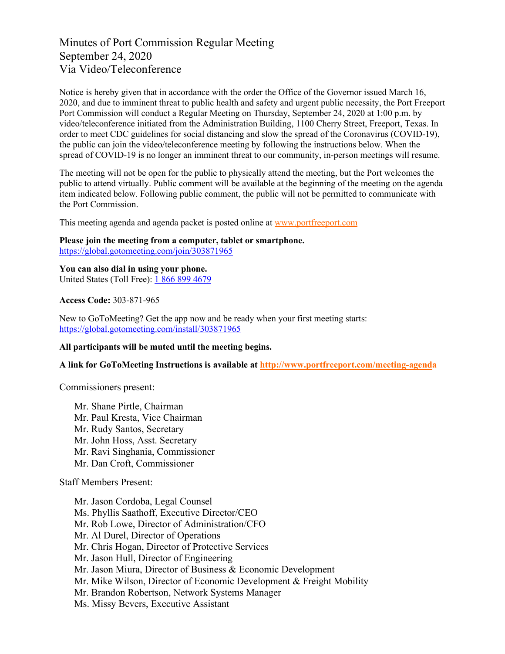# Minutes of Port Commission Regular Meeting September 24, 2020 Via Video/Teleconference

Notice is hereby given that in accordance with the order the Office of the Governor issued March 16, 2020, and due to imminent threat to public health and safety and urgent public necessity, the Port Freeport Port Commission will conduct a Regular Meeting on Thursday, September 24, 2020 at 1:00 p.m. by video/teleconference initiated from the Administration Building, 1100 Cherry Street, Freeport, Texas. In order to meet CDC guidelines for social distancing and slow the spread of the Coronavirus (COVID-19), the public can join the video/teleconference meeting by following the instructions below. When the spread of COVID-19 is no longer an imminent threat to our community, in-person meetings will resume.

The meeting will not be open for the public to physically attend the meeting, but the Port welcomes the public to attend virtually. Public comment will be available at the beginning of the meeting on the agenda item indicated below. Following public comment, the public will not be permitted to communicate with the Port Commission.

This meeting agenda and agenda packet is posted online at [www.portfreeport.com](http://www.portfreeport.com/)

#### **Please join the meeting from a computer, tablet or smartphone.**  <https://global.gotomeeting.com/join/303871965>

**You can also dial in using your phone.** United States (Toll Free): [1 866 899 4679](tel:+18668994679,,303871965)

**Access Code:** 303-871-965

New to GoToMeeting? Get the app now and be ready when your first meeting starts: <https://global.gotomeeting.com/install/303871965>

### **All participants will be muted until the meeting begins.**

**A link for GoToMeeting Instructions is available at<http://www.portfreeport.com/meeting-agenda>**

Commissioners present:

Mr. Shane Pirtle, Chairman Mr. Paul Kresta, Vice Chairman Mr. Rudy Santos, Secretary Mr. John Hoss, Asst. Secretary Mr. Ravi Singhania, Commissioner Mr. Dan Croft, Commissioner

Staff Members Present:

Mr. Jason Cordoba, Legal Counsel Ms. Phyllis Saathoff, Executive Director/CEO Mr. Rob Lowe, Director of Administration/CFO Mr. Al Durel, Director of Operations Mr. Chris Hogan, Director of Protective Services Mr. Jason Hull, Director of Engineering Mr. Jason Miura, Director of Business & Economic Development Mr. Mike Wilson, Director of Economic Development & Freight Mobility Mr. Brandon Robertson, Network Systems Manager Ms. Missy Bevers, Executive Assistant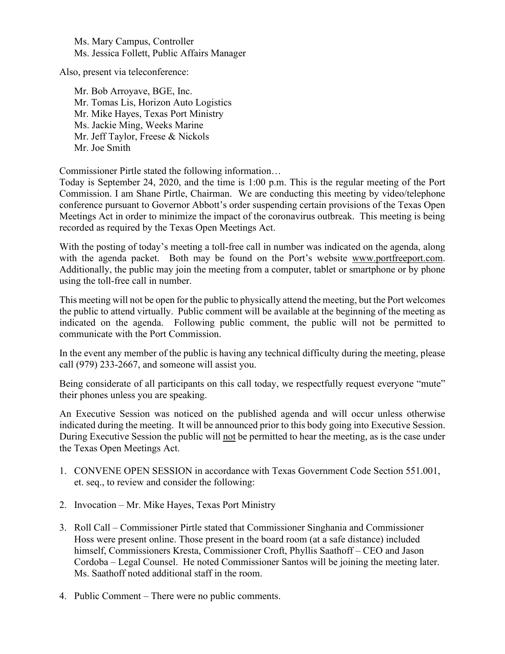Ms. Mary Campus, Controller Ms. Jessica Follett, Public Affairs Manager

Also, present via teleconference:

Mr. Bob Arroyave, BGE, Inc. Mr. Tomas Lis, Horizon Auto Logistics Mr. Mike Hayes, Texas Port Ministry Ms. Jackie Ming, Weeks Marine Mr. Jeff Taylor, Freese & Nickols Mr. Joe Smith

Commissioner Pirtle stated the following information…

Today is September 24, 2020, and the time is 1:00 p.m. This is the regular meeting of the Port Commission. I am Shane Pirtle, Chairman. We are conducting this meeting by video/telephone conference pursuant to Governor Abbott's order suspending certain provisions of the Texas Open Meetings Act in order to minimize the impact of the coronavirus outbreak. This meeting is being recorded as required by the Texas Open Meetings Act.

With the posting of today's meeting a toll-free call in number was indicated on the agenda, along with the agenda packet. Both may be found on the Port's website [www.portfreeport.com.](http://www.portfreeport.com/) Additionally, the public may join the meeting from a computer, tablet or smartphone or by phone using the toll-free call in number.

This meeting will not be open for the public to physically attend the meeting, but the Port welcomes the public to attend virtually. Public comment will be available at the beginning of the meeting as indicated on the agenda. Following public comment, the public will not be permitted to communicate with the Port Commission.

In the event any member of the public is having any technical difficulty during the meeting, please call (979) 233-2667, and someone will assist you.

Being considerate of all participants on this call today, we respectfully request everyone "mute" their phones unless you are speaking.

An Executive Session was noticed on the published agenda and will occur unless otherwise indicated during the meeting. It will be announced prior to this body going into Executive Session. During Executive Session the public will not be permitted to hear the meeting, as is the case under the Texas Open Meetings Act.

- 1. CONVENE OPEN SESSION in accordance with Texas Government Code Section 551.001, et. seq., to review and consider the following:
- 2. Invocation Mr. Mike Hayes, Texas Port Ministry
- 3. Roll Call Commissioner Pirtle stated that Commissioner Singhania and Commissioner Hoss were present online. Those present in the board room (at a safe distance) included himself, Commissioners Kresta, Commissioner Croft, Phyllis Saathoff – CEO and Jason Cordoba – Legal Counsel. He noted Commissioner Santos will be joining the meeting later. Ms. Saathoff noted additional staff in the room.
- 4. Public Comment There were no public comments.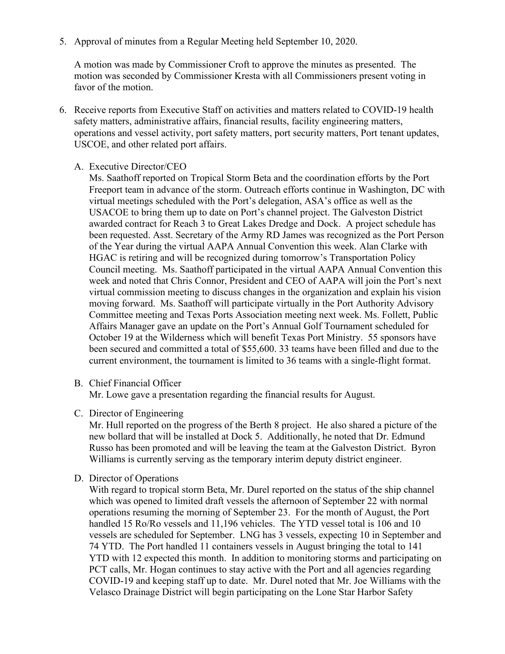5. Approval of minutes from a Regular Meeting held September 10, 2020.

A motion was made by Commissioner Croft to approve the minutes as presented. The motion was seconded by Commissioner Kresta with all Commissioners present voting in favor of the motion.

- 6. Receive reports from Executive Staff on activities and matters related to COVID-19 health safety matters, administrative affairs, financial results, facility engineering matters, operations and vessel activity, port safety matters, port security matters, Port tenant updates, USCOE, and other related port affairs.
	- A. Executive Director/CEO

Ms. Saathoff reported on Tropical Storm Beta and the coordination efforts by the Port Freeport team in advance of the storm. Outreach efforts continue in Washington, DC with virtual meetings scheduled with the Port's delegation, ASA's office as well as the USACOE to bring them up to date on Port's channel project. The Galveston District awarded contract for Reach 3 to Great Lakes Dredge and Dock. A project schedule has been requested. Asst. Secretary of the Army RD James was recognized as the Port Person of the Year during the virtual AAPA Annual Convention this week. Alan Clarke with HGAC is retiring and will be recognized during tomorrow's Transportation Policy Council meeting. Ms. Saathoff participated in the virtual AAPA Annual Convention this week and noted that Chris Connor, President and CEO of AAPA will join the Port's next virtual commission meeting to discuss changes in the organization and explain his vision moving forward. Ms. Saathoff will participate virtually in the Port Authority Advisory Committee meeting and Texas Ports Association meeting next week. Ms. Follett, Public Affairs Manager gave an update on the Port's Annual Golf Tournament scheduled for October 19 at the Wilderness which will benefit Texas Port Ministry. 55 sponsors have been secured and committed a total of \$55,600. 33 teams have been filled and due to the current environment, the tournament is limited to 36 teams with a single-flight format.

## B. Chief Financial Officer

Mr. Lowe gave a presentation regarding the financial results for August.

C. Director of Engineering

Mr. Hull reported on the progress of the Berth 8 project. He also shared a picture of the new bollard that will be installed at Dock 5. Additionally, he noted that Dr. Edmund Russo has been promoted and will be leaving the team at the Galveston District. Byron Williams is currently serving as the temporary interim deputy district engineer.

D. Director of Operations

With regard to tropical storm Beta, Mr. Durel reported on the status of the ship channel which was opened to limited draft vessels the afternoon of September 22 with normal operations resuming the morning of September 23. For the month of August, the Port handled 15 Ro/Ro vessels and 11,196 vehicles. The YTD vessel total is 106 and 10 vessels are scheduled for September. LNG has 3 vessels, expecting 10 in September and 74 YTD. The Port handled 11 containers vessels in August bringing the total to 141 YTD with 12 expected this month. In addition to monitoring storms and participating on PCT calls, Mr. Hogan continues to stay active with the Port and all agencies regarding COVID-19 and keeping staff up to date. Mr. Durel noted that Mr. Joe Williams with the Velasco Drainage District will begin participating on the Lone Star Harbor Safety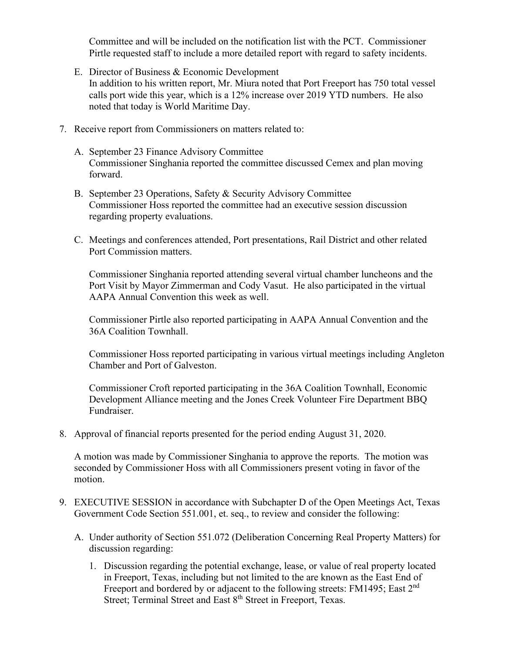Committee and will be included on the notification list with the PCT. Commissioner Pirtle requested staff to include a more detailed report with regard to safety incidents.

- E. Director of Business & Economic Development In addition to his written report, Mr. Miura noted that Port Freeport has 750 total vessel calls port wide this year, which is a 12% increase over 2019 YTD numbers. He also noted that today is World Maritime Day.
- 7. Receive report from Commissioners on matters related to:
	- A. September 23 Finance Advisory Committee Commissioner Singhania reported the committee discussed Cemex and plan moving forward.
	- B. September 23 Operations, Safety & Security Advisory Committee Commissioner Hoss reported the committee had an executive session discussion regarding property evaluations.
	- C. Meetings and conferences attended, Port presentations, Rail District and other related Port Commission matters.

Commissioner Singhania reported attending several virtual chamber luncheons and the Port Visit by Mayor Zimmerman and Cody Vasut. He also participated in the virtual AAPA Annual Convention this week as well.

Commissioner Pirtle also reported participating in AAPA Annual Convention and the 36A Coalition Townhall.

Commissioner Hoss reported participating in various virtual meetings including Angleton Chamber and Port of Galveston.

Commissioner Croft reported participating in the 36A Coalition Townhall, Economic Development Alliance meeting and the Jones Creek Volunteer Fire Department BBQ Fundraiser.

8. Approval of financial reports presented for the period ending August 31, 2020.

A motion was made by Commissioner Singhania to approve the reports. The motion was seconded by Commissioner Hoss with all Commissioners present voting in favor of the motion.

- 9. EXECUTIVE SESSION in accordance with Subchapter D of the Open Meetings Act, Texas Government Code Section 551.001, et. seq., to review and consider the following:
	- A. Under authority of Section 551.072 (Deliberation Concerning Real Property Matters) for discussion regarding:
		- 1. Discussion regarding the potential exchange, lease, or value of real property located in Freeport, Texas, including but not limited to the are known as the East End of Freeport and bordered by or adjacent to the following streets: FM1495; East 2<sup>nd</sup> Street; Terminal Street and East 8<sup>th</sup> Street in Freeport, Texas.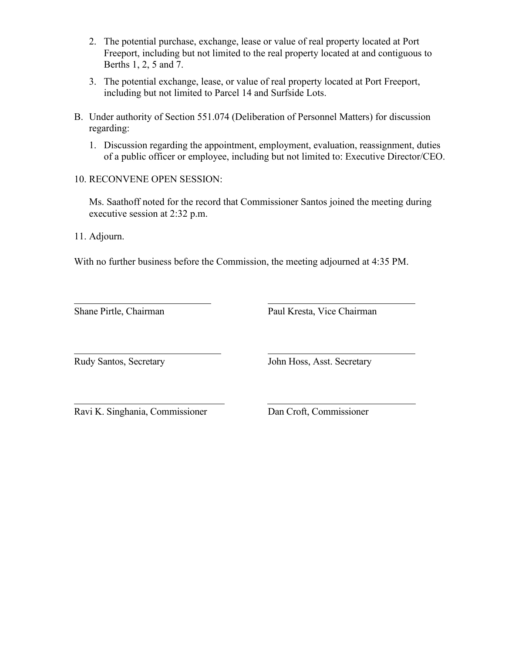- 2. The potential purchase, exchange, lease or value of real property located at Port Freeport, including but not limited to the real property located at and contiguous to Berths 1, 2, 5 and 7.
- 3. The potential exchange, lease, or value of real property located at Port Freeport, including but not limited to Parcel 14 and Surfside Lots.
- B. Under authority of Section 551.074 (Deliberation of Personnel Matters) for discussion regarding:
	- 1. Discussion regarding the appointment, employment, evaluation, reassignment, duties of a public officer or employee, including but not limited to: Executive Director/CEO.
- 10. RECONVENE OPEN SESSION:

 $\overline{a}$ 

Ms. Saathoff noted for the record that Commissioner Santos joined the meeting during executive session at 2:32 p.m.

11. Adjourn.

 $\overline{a}$ 

With no further business before the Commission, the meeting adjourned at 4:35 PM.

Shane Pirtle, Chairman Paul Kresta, Vice Chairman

 $\overline{a}$ 

Rudy Santos, Secretary John Hoss, Asst. Secretary

Ravi K. Singhania, Commissioner Dan Croft, Commissioner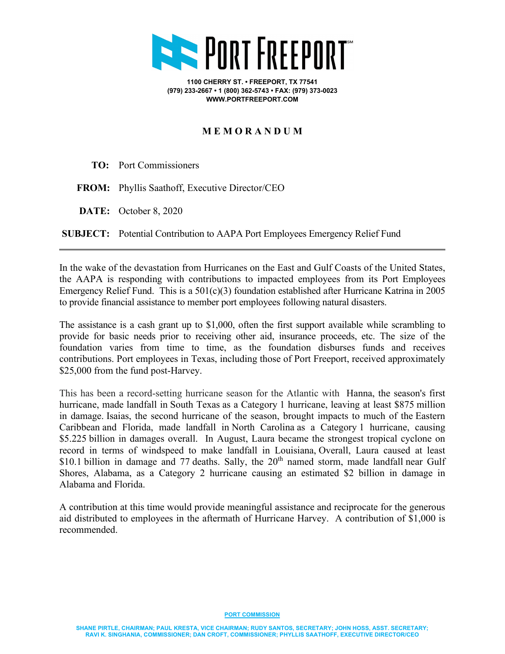

**1100 CHERRY ST. • FREEPORT, TX 77541 (979) 233-2667 • 1 (800) 362-5743 • FAX: (979) 373-0023 WWW.PORTFREEPORT.COM**

## **M E M O R A N D U M**

 **TO:** Port Commissioners

 **FROM:** Phyllis Saathoff, Executive Director/CEO

 **DATE:** October 8, 2020

**SUBJECT:** Potential Contribution to AAPA Port Employees Emergency Relief Fund

In the wake of the devastation from Hurricanes on the East and Gulf Coasts of the United States, the AAPA is responding with contributions to impacted employees from its Port Employees Emergency Relief Fund. This is a 501(c)(3) foundation established after Hurricane Katrina in 2005 to provide financial assistance to member port employees following natural disasters.

The assistance is a cash grant up to \$1,000, often the first support available while scrambling to provide for basic needs prior to receiving other aid, insurance proceeds, etc. The size of the foundation varies from time to time, as the foundation disburses funds and receives contributions. Port employees in Texas, including those of Port Freeport, received approximately \$25,000 from the fund post-Harvey.

This has been a record-setting hurricane season for the Atlantic with [Hanna,](https://en.wikipedia.org/wiki/Hurricane_Hanna_(2020)) the season's first hurricane, made landfall in [South Texas](https://en.wikipedia.org/wiki/Texas) as a Category 1 hurricane, leaving at least \$875 million in damage. [Isaias,](https://en.wikipedia.org/wiki/Hurricane_Isaias) the second hurricane of the season, brought impacts to much of the [Eastern](https://en.wikipedia.org/wiki/Eastern_Caribbean)  [Caribbean](https://en.wikipedia.org/wiki/Eastern_Caribbean) and Florida, made landfall in [North Carolina](https://en.wikipedia.org/wiki/North_Carolina) as a Category 1 hurricane, causing \$5.225 billion in damages overall. In August, Laura became the strongest tropical cyclone on record in terms of windspeed to make landfall in Louisiana, Overall, Laura caused at least \$10.1 billion in damage and 77 deaths. Sally, the 20<sup>th</sup> named storm, made landfall near Gulf Shores, Alabama, as a Category 2 hurricane causing an estimated \$2 billion in damage in Alabama and Florida.

A contribution at this time would provide meaningful assistance and reciprocate for the generous aid distributed to employees in the aftermath of Hurricane Harvey. A contribution of \$1,000 is recommended.

#### **PORT COMMISSION**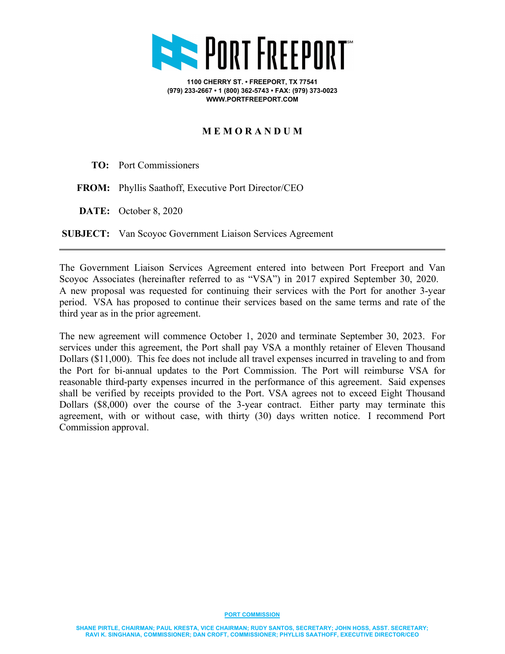

**1100 CHERRY ST. • FREEPORT, TX 77541 (979) 233-2667 • 1 (800) 362-5743 • FAX: (979) 373-0023 WWW.PORTFREEPORT.COM**

## **M E M O R A N D U M**

 **TO:** Port Commissioners

 **FROM:** Phyllis Saathoff, Executive Port Director/CEO

 **DATE:** October 8, 2020

**SUBJECT:** Van Scoyoc Government Liaison Services Agreement

The Government Liaison Services Agreement entered into between Port Freeport and Van Scoyoc Associates (hereinafter referred to as "VSA") in 2017 expired September 30, 2020. A new proposal was requested for continuing their services with the Port for another 3-year period. VSA has proposed to continue their services based on the same terms and rate of the third year as in the prior agreement.

The new agreement will commence October 1, 2020 and terminate September 30, 2023. For services under this agreement, the Port shall pay VSA a monthly retainer of Eleven Thousand Dollars (\$11,000). This fee does not include all travel expenses incurred in traveling to and from the Port for bi-annual updates to the Port Commission. The Port will reimburse VSA for reasonable third-party expenses incurred in the performance of this agreement. Said expenses shall be verified by receipts provided to the Port. VSA agrees not to exceed Eight Thousand Dollars (\$8,000) over the course of the 3-year contract. Either party may terminate this agreement, with or without case, with thirty (30) days written notice. I recommend Port Commission approval.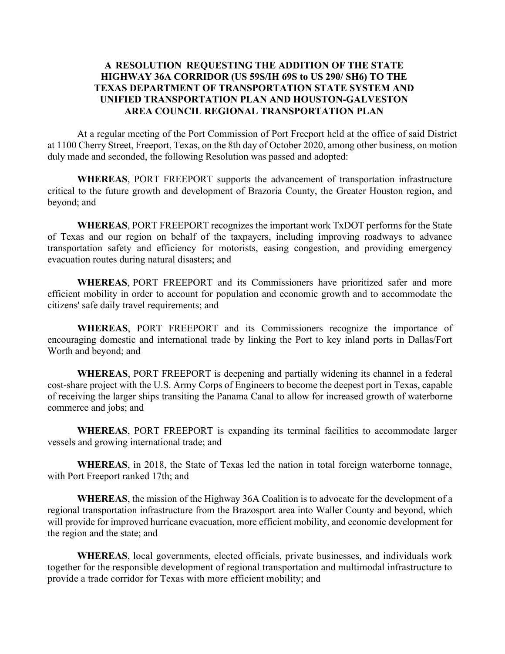### **A RESOLUTION REQUESTING THE ADDITION OF THE STATE HIGHWAY 36A CORRIDOR (US 59S/IH 69S to US 290/ SH6) TO THE TEXAS DEPARTMENT OF TRANSPORTATION STATE SYSTEM AND UNIFIED TRANSPORTATION PLAN AND HOUSTON-GALVESTON AREA COUNCIL REGIONAL TRANSPORTATION PLAN**

At a regular meeting of the Port Commission of Port Freeport held at the office of said District at 1100 Cherry Street, Freeport, Texas, on the 8th day of October 2020, among other business, on motion duly made and seconded, the following Resolution was passed and adopted:

**WHEREAS**, PORT FREEPORT supports the advancement of transportation infrastructure critical to the future growth and development of Brazoria County, the Greater Houston region, and beyond; and

**WHEREAS**, PORT FREEPORT recognizes the important work TxDOT performs for the State of Texas and our region on behalf of the taxpayers, including improving roadways to advance transportation safety and efficiency for motorists, easing congestion, and providing emergency evacuation routes during natural disasters; and

**WHEREAS**, PORT FREEPORT and its Commissioners have prioritized safer and more efficient mobility in order to account for population and economic growth and to accommodate the citizens' safe daily travel requirements; and

**WHEREAS**, PORT FREEPORT and its Commissioners recognize the importance of encouraging domestic and international trade by linking the Port to key inland ports in Dallas/Fort Worth and beyond; and

**WHEREAS**, PORT FREEPORT is deepening and partially widening its channel in a federal cost-share project with the U.S. Army Corps of Engineers to become the deepest port in Texas, capable of receiving the larger ships transiting the Panama Canal to allow for increased growth of waterborne commerce and jobs; and

**WHEREAS**, PORT FREEPORT is expanding its terminal facilities to accommodate larger vessels and growing international trade; and

**WHEREAS**, in 2018, the State of Texas led the nation in total foreign waterborne tonnage, with Port Freeport ranked 17th; and

**WHEREAS**, the mission of the Highway 36A Coalition is to advocate for the development of a regional transportation infrastructure from the Brazosport area into Waller County and beyond, which will provide for improved hurricane evacuation, more efficient mobility, and economic development for the region and the state; and

**WHEREAS**, local governments, elected officials, private businesses, and individuals work together for the responsible development of regional transportation and multimodal infrastructure to provide a trade corridor for Texas with more efficient mobility; and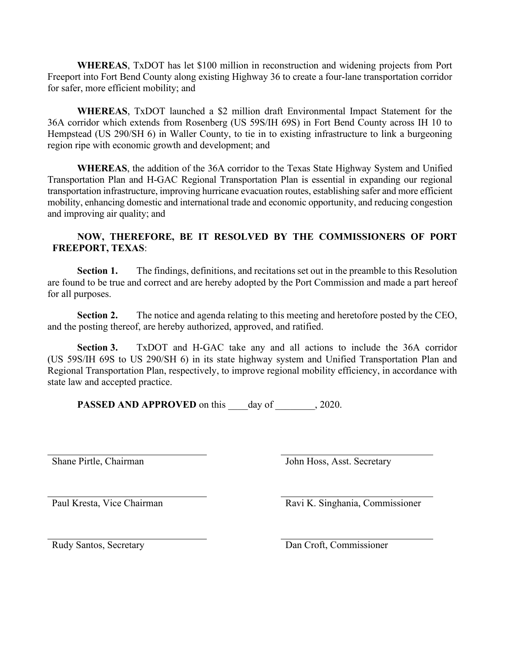**WHEREAS**, TxDOT has let \$100 million in reconstruction and widening projects from Port Freeport into Fort Bend County along existing Highway 36 to create a four-lane transportation corridor for safer, more efficient mobility; and

**WHEREAS**, TxDOT launched a \$2 million draft Environmental Impact Statement for the 36A corridor which extends from Rosenberg (US 59S/IH 69S) in Fort Bend County across IH 10 to Hempstead (US 290/SH 6) in Waller County, to tie in to existing infrastructure to link a burgeoning region ripe with economic growth and development; and

**WHEREAS**, the addition of the 36A corridor to the Texas State Highway System and Unified Transportation Plan and H-GAC Regional Transportation Plan is essential in expanding our regional transportation infrastructure, improving hurricane evacuation routes, establishing safer and more efficient mobility, enhancing domestic and international trade and economic opportunity, and reducing congestion and improving air quality; and

## **NOW, THEREFORE, BE IT RESOLVED BY THE COMMISSIONERS OF PORT FREEPORT, TEXAS**:

**Section 1.** The findings, definitions, and recitations set out in the preamble to this Resolution are found to be true and correct and are hereby adopted by the Port Commission and made a part hereof for all purposes.

**Section 2.** The notice and agenda relating to this meeting and heretofore posted by the CEO, and the posting thereof, are hereby authorized, approved, and ratified.

**Section 3.** TxDOT and H-GAC take any and all actions to include the 36A corridor (US 59S/IH 69S to US 290/SH 6) in its state highway system and Unified Transportation Plan and Regional Transportation Plan, respectively, to improve regional mobility efficiency, in accordance with state law and accepted practice.

**PASSED AND APPROVED** on this \_\_\_\_ day of  $\qquad$ , 2020.

Shane Pirtle, Chairman John Hoss, Asst. Secretary

Paul Kresta, Vice Chairman Ravi K. Singhania, Commissioner

Rudy Santos, Secretary Dan Croft, Commissioner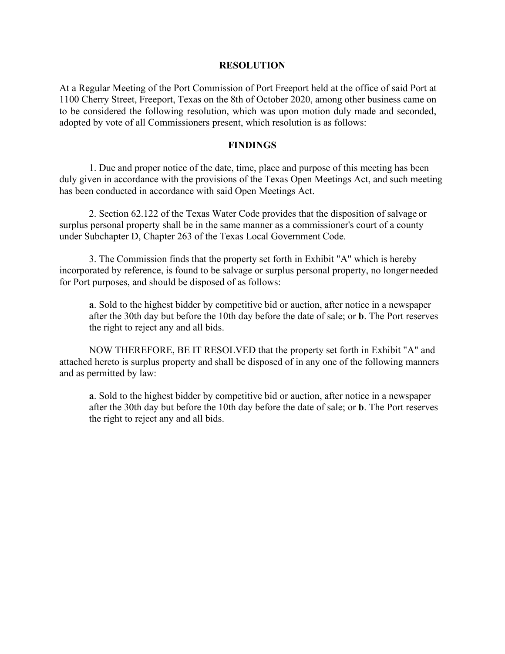### **RESOLUTION**

At a Regular Meeting of the Port Commission of Port Freeport held at the office of said Port at 1100 Cherry Street, Freeport, Texas on the 8th of October 2020, among other business came on to be considered the following resolution, which was upon motion duly made and seconded, adopted by vote of all Commissioners present, which resolution is as follows:

### **FINDINGS**

1. Due and proper notice of the date, time, place and purpose of this meeting has been duly given in accordance with the provisions of the Texas Open Meetings Act, and such meeting has been conducted in accordance with said Open Meetings Act.

2. Section 62.122 of the Texas Water Code provides that the disposition of salvage or surplus personal property shall be in the same manner as a commissioner's court of a county under Subchapter D, Chapter 263 of the Texas Local Government Code.

3. The Commission finds that the property set forth in Exhibit "A" which is hereby incorporated by reference, is found to be salvage or surplus personal property, no longer needed for Port purposes, and should be disposed of as follows:

**a**. Sold to the highest bidder by competitive bid or auction, after notice in a newspaper after the 30th day but before the 10th day before the date of sale; or **b**. The Port reserves the right to reject any and all bids.

NOW THEREFORE, BE IT RESOLVED that the property set forth in Exhibit "A" and attached hereto is surplus property and shall be disposed of in any one of the following manners and as permitted by law:

**a**. Sold to the highest bidder by competitive bid or auction, after notice in a newspaper after the 30th day but before the 10th day before the date of sale; or **b**. The Port reserves the right to reject any and all bids.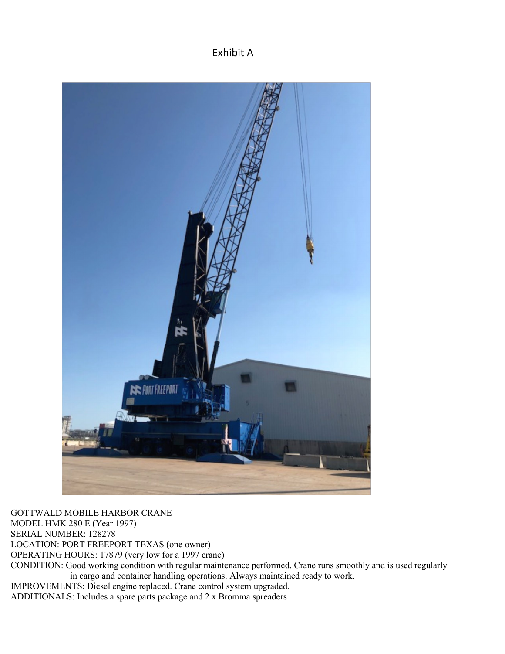Exhibit A



GOTTWALD MOBILE HARBOR CRANE MODEL HMK 280 E (Year 1997) SERIAL NUMBER: 128278 LOCATION: PORT FREEPORT TEXAS (one owner) OPERATING HOURS: 17879 (very low for a 1997 crane) CONDITION: Good working condition with regular maintenance performed. Crane runs smoothly and is used regularly in cargo and container handling operations. Always maintained ready to work. IMPROVEMENTS: Diesel engine replaced. Crane control system upgraded. ADDITIONALS: Includes a spare parts package and 2 x Bromma spreaders